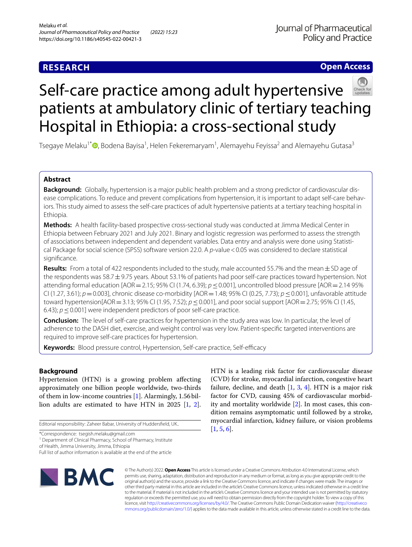# **RESEARCH**

## **Open Access**



# Self-care practice among adult hypertensive patients at ambulatory clinic of tertiary teaching Hospital in Ethiopia: a cross-sectional study

Tsegaye Melaku<sup>1\*</sup>®[,](http://orcid.org/0000-0001-8373-5309) Bodena Bayisa<sup>1</sup>, Helen Fekeremaryam<sup>1</sup>, Alemayehu Feyissa<sup>2</sup> and Alemayehu Gutasa<sup>3</sup>

## **Abstract**

**Background:** Globally, hypertension is a major public health problem and a strong predictor of cardiovascular disease complications. To reduce and prevent complications from hypertension, it is important to adapt self-care behaviors. This study aimed to assess the self-care practices of adult hypertensive patients at a tertiary teaching hospital in Ethiopia.

**Methods:** A health facility-based prospective cross-sectional study was conducted at Jimma Medical Center in Ethiopia between February 2021 and July 2021. Binary and logistic regression was performed to assess the strength of associations between independent and dependent variables. Data entry and analysis were done using Statistical Package for social science (SPSS) software version 22.0. A *p*-value <0.05 was considered to declare statistical signifcance.

Results: From a total of 422 respondents included to the study, male accounted 55.7% and the mean $\pm$ SD age of the respondents was  $58.7\pm9.75$  years. About 53.1% of patients had poor self-care practices toward hypertension. Not attending formal education [AOR=2.15; 95% CI (1.74, 6.39); *p*≤0.001], uncontrolled blood pressure [AOR=2.14 95% CI (1.27, 3.61); *p*=0.003], chronic disease co-morbidity [AOR=1.48; 95% CI (0.25, 7.73); *p*≤0.001], unfavorable attitude toward hypertension[AOR=3.13; 95% CI (1.95, 7.52); *p*≤0.001], and poor social support [AOR=2.75; 95% CI (1.45, 6.43); *p*≤0.001] were independent predictors of poor self-care practice.

**Conclusion:** The level of self-care practices for hypertension in the study area was low. In particular, the level of adherence to the DASH diet, exercise, and weight control was very low. Patient-specifc targeted interventions are required to improve self-care practices for hypertension.

**Keywords:** Blood pressure control, Hypertension, Self-care practice, Self-efficacy

## **Background**

Hypertension (HTN) is a growing problem afecting approximately one billion people worldwide, two-thirds of them in low-income countries [[1\]](#page-8-0). Alarmingly, 1.56billion adults are estimated to have HTN in 2025 [[1,](#page-8-0) [2](#page-8-1)].

Editorial responsibility: Zaheer Babar, University of Huddersfeld, UK..

\*Correspondence: tsegish.melaku@gmail.com

of Health, Jimma University, Jimma, Ethiopia

Full list of author information is available at the end of the article

**BMC** 

HTN is a leading risk factor for cardiovascular disease (CVD) for stroke, myocardial infarction, congestive heart failure, decline, and death  $[1, 3, 4]$  $[1, 3, 4]$  $[1, 3, 4]$  $[1, 3, 4]$  $[1, 3, 4]$ . HTN is a major risk factor for CVD, causing 45% of cardiovascular morbidity and mortality worldwide [[2](#page-8-1)]. In most cases, this condition remains asymptomatic until followed by a stroke, myocardial infarction, kidney failure, or vision problems [[1,](#page-8-0) [5](#page-8-4), [6\]](#page-9-0).

© The Author(s) 2022. **Open Access** This article is licensed under a Creative Commons Attribution 4.0 International License, which permits use, sharing, adaptation, distribution and reproduction in any medium or format, as long as you give appropriate credit to the original author(s) and the source, provide a link to the Creative Commons licence, and indicate if changes were made. The images or other third party material in this article are included in the article's Creative Commons licence, unless indicated otherwise in a credit line to the material. If material is not included in the article's Creative Commons licence and your intended use is not permitted by statutory regulation or exceeds the permitted use, you will need to obtain permission directly from the copyright holder. To view a copy of this licence, visit [http://creativecommons.org/licenses/by/4.0/.](http://creativecommons.org/licenses/by/4.0/) The Creative Commons Public Domain Dedication waiver ([http://creativeco](http://creativecommons.org/publicdomain/zero/1.0/) [mmons.org/publicdomain/zero/1.0/](http://creativecommons.org/publicdomain/zero/1.0/)) applies to the data made available in this article, unless otherwise stated in a credit line to the data.

<sup>&</sup>lt;sup>1</sup> Department of Clinical Pharmacy, School of Pharmacy, Institute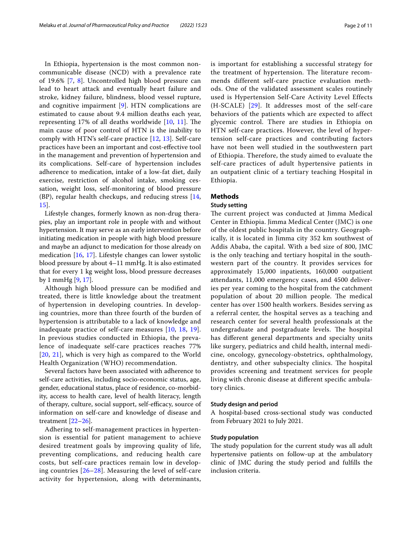In Ethiopia, hypertension is the most common noncommunicable disease (NCD) with a prevalence rate of 19.6% [[7,](#page-9-1) [8\]](#page-9-2). Uncontrolled high blood pressure can lead to heart attack and eventually heart failure and stroke, kidney failure, blindness, blood vessel rupture, and cognitive impairment [[9\]](#page-9-3). HTN complications are estimated to cause about 9.4 million deaths each year, representing  $17\%$  of all deaths worldwide  $[10, 11]$  $[10, 11]$  $[10, 11]$  $[10, 11]$ . The main cause of poor control of HTN is the inability to comply with HTN's self-care practice [[12](#page-9-6), [13](#page-9-7)]. Self-care practices have been an important and cost-efective tool in the management and prevention of hypertension and its complications. Self-care of hypertension includes adherence to medication, intake of a low-fat diet, daily exercise, restriction of alcohol intake, smoking cessation, weight loss, self-monitoring of blood pressure (BP), regular health checkups, and reducing stress [\[14](#page-9-8), [15\]](#page-9-9).

Lifestyle changes, formerly known as non-drug therapies, play an important role in people with and without hypertension. It may serve as an early intervention before initiating medication in people with high blood pressure and maybe an adjunct to medication for those already on medication [\[16](#page-9-10), [17](#page-9-11)]. Lifestyle changes can lower systolic blood pressure by about 4–11 mmHg. It is also estimated that for every 1 kg weight loss, blood pressure decreases by 1 mmHg [\[9](#page-9-3), [17](#page-9-11)].

Although high blood pressure can be modifed and treated, there is little knowledge about the treatment of hypertension in developing countries. In developing countries, more than three fourth of the burden of hypertension is attributable to a lack of knowledge and inadequate practice of self-care measures [[10,](#page-9-4) [18,](#page-9-12) [19\]](#page-9-13). In previous studies conducted in Ethiopia, the prevalence of inadequate self-care practices reaches 77% [[20](#page-9-14), [21](#page-9-15)], which is very high as compared to the World Health Organization (WHO) recommendation.

Several factors have been associated with adherence to self-care activities, including socio-economic status, age, gender, educational status, place of residence, co-morbidity, access to health care, level of health literacy, length of therapy, culture, social support, self-efficacy, source of information on self-care and knowledge of disease and treatment [[22](#page-9-16)[–26](#page-9-17)].

Adhering to self-management practices in hypertension is essential for patient management to achieve desired treatment goals by improving quality of life, preventing complications, and reducing health care costs, but self-care practices remain low in developing countries [\[26–](#page-9-17)[28](#page-9-18)]. Measuring the level of self-care activity for hypertension, along with determinants, is important for establishing a successful strategy for the treatment of hypertension. The literature recommends different self-care practice evaluation methods. One of the validated assessment scales routinely used is Hypertension Self-Care Activity Level Effects (H-SCALE) [[29\]](#page-9-19). It addresses most of the self-care behaviors of the patients which are expected to affect glycemic control. There are studies in Ethiopia on HTN self-care practices. However, the level of hypertension self-care practices and contributing factors have not been well studied in the southwestern part of Ethiopia. Therefore, the study aimed to evaluate the self-care practices of adult hypertensive patients in an outpatient clinic of a tertiary teaching Hospital in Ethiopia.

## **Methods**

## **Study setting**

The current project was conducted at Jimma Medical Center in Ethiopia. Jimma Medical Center (JMC) is one of the oldest public hospitals in the country. Geographically, it is located in Jimma city 352 km southwest of Addis Ababa, the capital. With a bed size of 800, JMC is the only teaching and tertiary hospital in the southwestern part of the country. It provides services for approximately 15,000 inpatients, 160,000 outpatient attendants, 11,000 emergency cases, and 4500 deliveries per year coming to the hospital from the catchment population of about 20 million people. The medical center has over 1500 health workers. Besides serving as a referral center, the hospital serves as a teaching and research center for several health professionals at the undergraduate and postgraduate levels. The hospital has diferent general departments and specialty units like surgery, pediatrics and child health, internal medicine, oncology, gynecology-obstetrics, ophthalmology, dentistry, and other subspecialty clinics. The hospital provides screening and treatment services for people living with chronic disease at diferent specifc ambulatory clinics.

## **Study design and period**

A hospital-based cross-sectional study was conducted from February 2021 to July 2021.

## **Study population**

The study population for the current study was all adult hypertensive patients on follow-up at the ambulatory clinic of JMC during the study period and fulflls the inclusion criteria.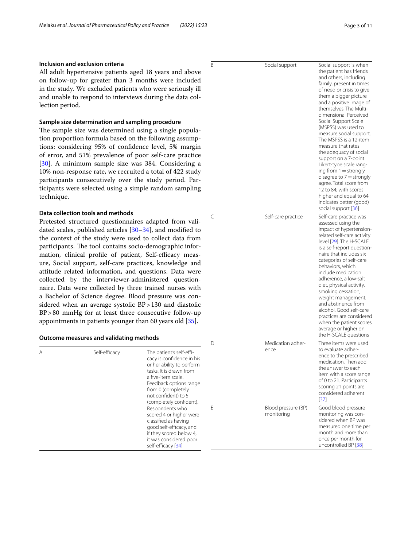## **Inclusion and exclusion criteria**

All adult hypertensive patients aged 18 years and above on follow-up for greater than 3 months were included in the study. We excluded patients who were seriously ill and unable to respond to interviews during the data collection period.

## **Sample size determination and sampling procedure**

The sample size was determined using a single population proportion formula based on the following assumptions: considering 95% of confdence level, 5% margin of error, and 51% prevalence of poor self-care practice [[30\]](#page-9-20). A minimum sample size was 384. Considering a 10% non-response rate, we recruited a total of 422 study participants consecutively over the study period. Participants were selected using a simple random sampling technique.

## **Data collection tools and methods**

Pretested structured questionnaires adapted from validated scales, published articles [\[30](#page-9-20)[–34\]](#page-9-21), and modifed to the context of the study were used to collect data from participants. The tool contains socio-demographic information, clinical profile of patient, Self-efficacy measure, Social support, self-care practices, knowledge and attitude related information, and questions. Data were collected by the interviewer-administered questionnaire. Data were collected by three trained nurses with a Bachelor of Science degree. Blood pressure was considered when an average systolic BP > 130 and diastolic BP>80 mmHg for at least three consecutive follow-up appointments in patients younger than 60 years old [\[35](#page-9-22)].

## **Outcome measures and validating methods**

|   |               |                                                                                                                                                                                                                                                                                                                                                                                                                   | D | Medication adher-                         |  |
|---|---------------|-------------------------------------------------------------------------------------------------------------------------------------------------------------------------------------------------------------------------------------------------------------------------------------------------------------------------------------------------------------------------------------------------------------------|---|-------------------------------------------|--|
| Α | Self-efficacy | The patient's self-effi-<br>cacy is confidence in his<br>or her ability to perform<br>tasks. It is drawn from<br>a five-item scale.<br>Feedback options range<br>from 0 (completely<br>not confident) to 5<br>(completely confident).<br>Respondents who<br>scored 4 or higher were<br>classified as having<br>good self-efficacy, and<br>if they scored below 4,<br>it was considered poor<br>self-efficacy [34] | F | ence<br>Blood pressure (BP)<br>monitoring |  |
|   |               |                                                                                                                                                                                                                                                                                                                                                                                                                   |   |                                           |  |

| the adequacy of social     |
|----------------------------|
| support on a 7-point       |
| Likert-type scale rang-    |
| ing from $1 =$ strongly    |
| disagree to $7 =$ strongly |
| agree. Total score from    |
|                            |

B Social support Social support is when

C Self-care practice Self-care practice was

average or higher on the H-SCALE questions Three items were used to evaluate adherence to the prescribed medication. Then add the answer to each item with a score range of 0 to 21. Participants scoring 21 points are considered adherent [[37\]](#page-9-24)

> Good blood pressure monitoring was considered when BP was measured one time per month and more than once per month for uncontrolled BP [[38](#page-9-25)]

the patient has friends and others, including family, present in times of need or crisis to give them a bigger picture and a positive image of themselves. The Multidimensional Perceived Social Support Scale (MSPSS) was used to measure social support. The MSPSS is a 12-item measure that rates

12 to 84; with scores higher and equal to 64 indicates better (good) social support [\[36](#page-9-23)]

assessed using the impact of hypertensionrelated self-care activity level [\[29](#page-9-19)]. The H-SCALE is a self-report questionnaire that includes six categories of self-care behaviors, which include medication adherence, a low-salt diet, physical activity. smoking cessation, weight management, and abstinence from alcohol. Good self-care practices are considered when the patient scores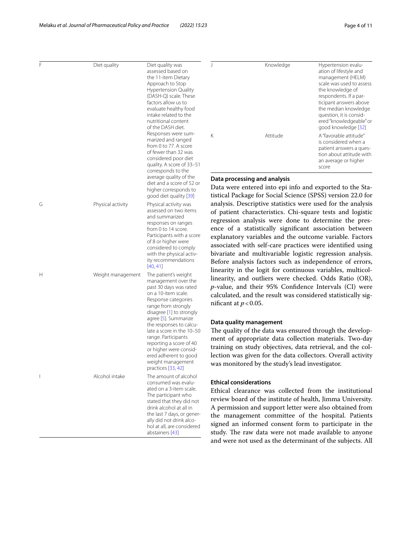| F | Diet quality      | Diet quality was<br>assessed based on<br>the 11-item Dietary<br>Approach to Stop<br><b>Hypertension Quality</b><br>(DASH-Q) scale. These<br>factors allow us to<br>evaluate healthy food<br>intake related to the<br>nutritional content<br>of the DASH diet.                                            | $\overline{1}$<br>Knowledge                                                                                                                                                                                                                                                                                                                                                                                                                                                                 | Hypertension evalu-<br>ation of lifestyle and<br>management (HELM)<br>scale was used to assess<br>the knowledge of<br>respondents. If a par-<br>ticipant answers above<br>the median knowledge<br>question, it is consid-<br>ered "knowledgeable" or<br>good knowledge [32] |
|---|-------------------|----------------------------------------------------------------------------------------------------------------------------------------------------------------------------------------------------------------------------------------------------------------------------------------------------------|---------------------------------------------------------------------------------------------------------------------------------------------------------------------------------------------------------------------------------------------------------------------------------------------------------------------------------------------------------------------------------------------------------------------------------------------------------------------------------------------|-----------------------------------------------------------------------------------------------------------------------------------------------------------------------------------------------------------------------------------------------------------------------------|
|   |                   | Responses were sum-<br>marized and ranged<br>from 0 to 77. A score<br>of fewer than 32 was<br>considered poor diet<br>quality. A score of 33-51<br>corresponds to the                                                                                                                                    | Κ<br>Attitude                                                                                                                                                                                                                                                                                                                                                                                                                                                                               | A "favorable attitude"<br>is considered when a<br>patient answers a ques-<br>tion about attitude with<br>an average or higher<br>score                                                                                                                                      |
|   |                   | average quality of the<br>diet and a score of 52 or<br>higher corresponds to<br>good diet quality [39]                                                                                                                                                                                                   | Data processing and analysis<br>Data were entered into epi info and exported to the Sta-<br>tistical Package for Social Science (SPSS) version 22.0 for                                                                                                                                                                                                                                                                                                                                     |                                                                                                                                                                                                                                                                             |
| G | Physical activity | Physical activity was<br>assessed on two items<br>and summarized<br>responses on ranges<br>from 0 to 14 score.<br>Participants with a score<br>of 8 or higher were<br>considered to comply<br>with the physical activ-<br>ity recommendations<br>[40, 41]                                                | analysis. Descriptive statistics were used for the analysis<br>of patient characteristics. Chi-square tests and logistic<br>regression analysis were done to determine the pres-<br>ence of a statistically significant association between<br>explanatory variables and the outcome variable. Factors<br>associated with self-care practices were identified using<br>bivariate and multivariable logistic regression analysis.<br>Before analysis factors such as independence of errors, |                                                                                                                                                                                                                                                                             |
| Н | Weight management | The patient's weight<br>management over the<br>past 30 days was rated<br>on a 10-item scale.<br>Response categories<br>range from strongly<br>disagree [1] to strongly<br>agree [5]. Summarize<br>the responses to calcu-<br>late a score in the 10-50<br>range. Participants<br>reporting a score of 40 | linearity in the logit for continuous variables, multicol-<br>linearity, and outliers were checked. Odds Ratio (OR),<br>$p$ -value, and their 95% Confidence Intervals (CI) were<br>calculated, and the result was considered statistically sig-<br>nificant at $p < 0.05$ .<br>Data quality management<br>The quality of the data was ensured through the develop-<br>ment of appropriate data collection materials. Two-day                                                               |                                                                                                                                                                                                                                                                             |
|   |                   | or higher were consid-<br>ered adherent to good<br>weight management<br>practices [33, 42]                                                                                                                                                                                                               | training on study objectives, data retrieval, and the col-<br>lection was given for the data collectors. Overall activity<br>was monitored by the study's lead investigator.                                                                                                                                                                                                                                                                                                                |                                                                                                                                                                                                                                                                             |
|   | Alcohol intake    | The amount of alcohol<br>consumed was evalu-<br>ated on a 3-item scale.<br>The participant who<br>stated that they did not<br>drink alcohol at all in<br>the last 7 days, or gener-<br>ally did not drink alco-<br>hol at all, are considered<br>abstainers [43]                                         | <b>Ethical considerations</b><br>Ethical clearance was collected from the institutional<br>review board of the institute of health, Jimma University.<br>A permission and support letter were also obtained from<br>the management committee of the hospital. Patients<br>signed an informed consent form to participate in the<br>study. The raw data were not made available to anyone<br>and were not used as the determinant of the subjects. All                                       |                                                                                                                                                                                                                                                                             |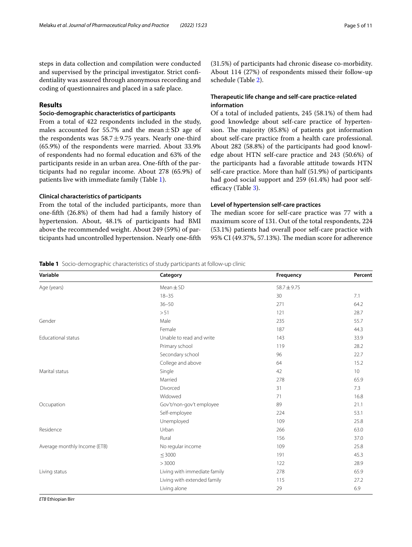steps in data collection and compilation were conducted and supervised by the principal investigator. Strict confdentiality was assured through anonymous recording and coding of questionnaires and placed in a safe place.

## **Results**

## **Socio‑demographic characteristics of participants**

From a total of 422 respondents included in the study, males accounted for 55.7% and the mean $\pm$ SD age of the respondents was  $58.7 \pm 9.75$  years. Nearly one-third (65.9%) of the respondents were married. About 33.9% of respondents had no formal education and 63% of the participants reside in an urban area. One-ffth of the participants had no regular income. About 278 (65.9%) of patients live with immediate family (Table [1](#page-4-0)).

## **Clinical characteristics of participants**

From the total of the included participants, more than one-ffth (26.8%) of them had had a family history of hypertension. About, 48.1% of participants had BMI above the recommended weight. About 249 (59%) of participants had uncontrolled hypertension. Nearly one-ffth (31.5%) of participants had chronic disease co-morbidity. About 114 (27%) of respondents missed their follow-up schedule (Table [2\)](#page-5-0).

## **Therapeutic life change and self‑care practice‑related information**

Of a total of included patients, 245 (58.1%) of them had good knowledge about self-care practice of hypertension. The majority  $(85.8%)$  of patients got information about self-care practice from a health care professional. About 282 (58.8%) of the participants had good knowledge about HTN self-care practice and 243 (50.6%) of the participants had a favorable attitude towards HTN self-care practice. More than half (51.9%) of participants had good social support and 259 (61.4%) had poor self-efficacy (Table [3\)](#page-5-1).

## **Level of hypertension self‑care practices**

The median score for self-care practice was 77 with a maximum score of 131. Out of the total respondents, 224 (53.1%) patients had overall poor self-care practice with 95% CI (49.37%, 57.13%). The median score for adherence

## <span id="page-4-0"></span>**Table 1** Socio-demographic characteristics of study participants at follow-up clinic

| Variable                     | Category                     | Frequency       | Percent |
|------------------------------|------------------------------|-----------------|---------|
| Age (years)                  | $Mean \pm SD$                | $58.7 \pm 9.75$ |         |
|                              | $18 - 35$                    | 30              | 7.1     |
|                              | $36 - 50$                    | 271             | 64.2    |
|                              | > 51                         | 121             | 28.7    |
| Gender                       | Male                         | 235             | 55.7    |
|                              | Female                       | 187             | 44.3    |
| <b>Educational status</b>    | Unable to read and write     | 143             | 33.9    |
|                              | Primary school               | 119             | 28.2    |
|                              | Secondary school             | 96              | 22.7    |
|                              | College and above            | 64              | 15.2    |
| Marital status               | Single                       | 42              | 10      |
|                              | Married                      | 278             | 65.9    |
|                              | Divorced                     | 31              | 7.3     |
|                              | Widowed                      | 71              | 16.8    |
| Occupation                   | Gov't/non-gov't employee     | 89              | 21.1    |
|                              | Self-employee                | 224             | 53.1    |
|                              | Unemployed                   | 109             | 25.8    |
| Residence                    | Urban                        | 266             | 63.0    |
|                              | Rural                        | 156             | 37.0    |
| Average monthly Income (ETB) | No regular income            | 109             | 25.8    |
|                              | $\leq$ 3000                  | 191             | 45.3    |
|                              | >3000                        | 122             | 28.9    |
| Living status                | Living with immediate family | 278             | 65.9    |
|                              | Living with extended family  | 115             | 27.2    |
|                              | Living alone                 | 29              | 6.9     |

*ETB* Ethiopian Birr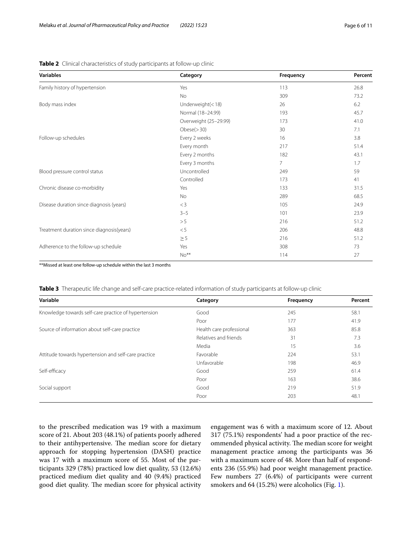| <b>Variables</b>                          | Category              | Frequency      | Percent |
|-------------------------------------------|-----------------------|----------------|---------|
| Family history of hypertension            | Yes                   | 113            | 26.8    |
|                                           | <b>No</b>             | 309            | 73.2    |
| Body mass index                           | Underweight $(< 18)$  | 26             | 6.2     |
|                                           | Normal (18-24.99)     | 193            | 45.7    |
|                                           | Overweight (25-29.99) | 173            | 41.0    |
|                                           | Obese (> 30)          | 30             | 7.1     |
| Follow-up schedules                       | Every 2 weeks         | 16             | 3.8     |
|                                           | Every month           | 217            | 51.4    |
|                                           | Every 2 months        | 182            | 43.1    |
|                                           | Every 3 months        | $\overline{7}$ | 1.7     |
| Blood pressure control status             | Uncontrolled          | 249            | 59      |
|                                           | Controlled            | 173            | 41      |
| Chronic disease co-morbidity              | Yes                   | 133            | 31.5    |
|                                           | <b>No</b>             | 289            | 68.5    |
| Disease duration since diagnosis (years)  | $<$ 3                 | 105            | 24.9    |
|                                           | $3 - 5$               | 101            | 23.9    |
|                                           | > 5                   | 216            | 51.2    |
| Treatment duration since diagnosis(years) | < 5                   | 206            | 48.8    |
|                                           | $\geq$ 5              | 216            | 51.2    |
| Adherence to the follow-up schedule       | Yes                   | 308            | 73      |
|                                           | $No**$                | 114            | 27      |
|                                           |                       |                |         |

<span id="page-5-0"></span>**Table 2** Clinical characteristics of study participants at follow-up clinic

\*\*Missed at least one follow-up schedule within the last 3 months

<span id="page-5-1"></span>**Table 3** Therapeutic life change and self-care practice-related information of study participants at follow-up clinic

| Variable                                             | Category                 | Frequency | Percent |
|------------------------------------------------------|--------------------------|-----------|---------|
| Knowledge towards self-care practice of hypertension | Good                     | 245       | 58.1    |
|                                                      | Poor                     | 177       | 41.9    |
| Source of information about self-care practice       | Health care professional | 363       | 85.8    |
|                                                      | Relatives and friends    | 31        | 7.3     |
|                                                      | Media                    | 15        | 3.6     |
| Attitude towards hypertension and self-care practice | Favorable                | 224       | 53.1    |
|                                                      | Unfavorable              | 198       | 46.9    |
| Self-efficacy                                        | Good                     | 259       | 61.4    |
|                                                      | Poor                     | 163       | 38.6    |
| Social support                                       | Good                     | 219       | 51.9    |
|                                                      | Poor                     | 203       | 48.1    |

to the prescribed medication was 19 with a maximum score of 21. About 203 (48.1%) of patients poorly adhered to their antihypertensive. The median score for dietary approach for stopping hypertension (DASH) practice was 17 with a maximum score of 55. Most of the participants 329 (78%) practiced low diet quality, 53 (12.6%) practiced medium diet quality and 40 (9.4%) practiced good diet quality. The median score for physical activity engagement was 6 with a maximum score of 12. About 317 (75.1%) respondents' had a poor practice of the recommended physical activity. The median score for weight management practice among the participants was 36 with a maximum score of 48. More than half of respondents 236 (55.9%) had poor weight management practice. Few numbers 27 (6.4%) of participants were current smokers and 64 (15.2%) were alcoholics (Fig. [1](#page-6-0)).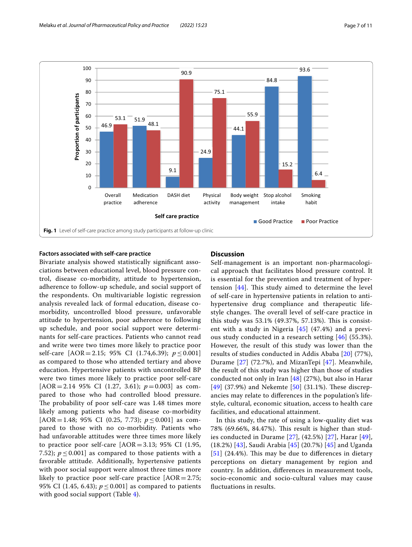

## <span id="page-6-0"></span>**Factors associated with self‑care practice**

Bivariate analysis showed statistically signifcant associations between educational level, blood pressure control, disease co-morbidity, attitude to hypertension, adherence to follow-up schedule, and social support of the respondents. On multivariable logistic regression analysis revealed lack of formal education, disease comorbidity, uncontrolled blood pressure, unfavorable attitude to hypertension, poor adherence to following up schedule, and poor social support were determinants for self-care practices. Patients who cannot read and write were two times more likely to practice poor self-care [AOR=2.15; 95% CI (1.74,6.39); *p* ≤ 0.001] as compared to those who attended tertiary and above education. Hypertensive patients with uncontrolled BP were two times more likely to practice poor self-care [AOR=2.14 95% CI (1.27, 3.61); *p*=0.003] as compared to those who had controlled blood pressure. The probability of poor self-care was 1.48 times more likely among patients who had disease co-morbidity [AOR = 1.48; 95% CI (0.25, 7.73);  $p \le 0.001$ ] as compared to those with no co-morbidity. Patients who had unfavorable attitudes were three times more likely to practice poor self-care [AOR=3.13; 95% CI (1.95, 7.52);  $p \le 0.001$ ] as compared to those patients with a favorable attitude. Additionally, hypertensive patients with poor social support were almost three times more likely to practice poor self-care practice  $[AOR = 2.75;$ 95% CI (1.45, 6.43);  $p \le 0.001$ ] as compared to patients with good social support (Table [4](#page-7-0)).

## **Discussion**

Self-management is an important non-pharmacological approach that facilitates blood pressure control. It is essential for the prevention and treatment of hypertension  $[44]$  $[44]$ . This study aimed to determine the level of self-care in hypertensive patients in relation to antihypertensive drug compliance and therapeutic lifestyle changes. The overall level of self-care practice in this study was 53.1% (49.37%, 57.13%). This is consistent with a study in Nigeria [[45](#page-9-34)] (47.4%) and a previous study conducted in a research setting [[46\]](#page-9-35) (55.3%). However, the result of this study was lower than the results of studies conducted in Addis Ababa [[20\]](#page-9-14) (77%), Durame [[27\]](#page-9-36) (72.7%), and MizanTepi [\[47\]](#page-9-37). Meanwhile, the result of this study was higher than those of studies conducted not only in Iran  $[48]$  $[48]$  $[48]$  (27%), but also in Harar  $[49]$  $[49]$  $[49]$  (37.9%) and Nekemte  $[50]$  $[50]$  $[50]$  (31.1%). These discrepancies may relate to diferences in the population's lifestyle, cultural, economic situation, access to health care facilities, and educational attainment.

In this study, the rate of using a low-quality diet was 78% (69.66%, 84.47%). This result is higher than studies conducted in Durame [[27\]](#page-9-36), (42.5%) [[27\]](#page-9-36), Harar [[49](#page-9-39)], (18.2%) [[43\]](#page-9-31), Saudi Arabia [[45\]](#page-9-34) (20.7%) [\[45\]](#page-9-34) and Uganda  $[51]$  $[51]$  $[51]$  (24.4%). This may be due to differences in dietary perceptions on dietary management by region and country. In addition, diferences in measurement tools, socio-economic and socio-cultural values may cause fuctuations in results.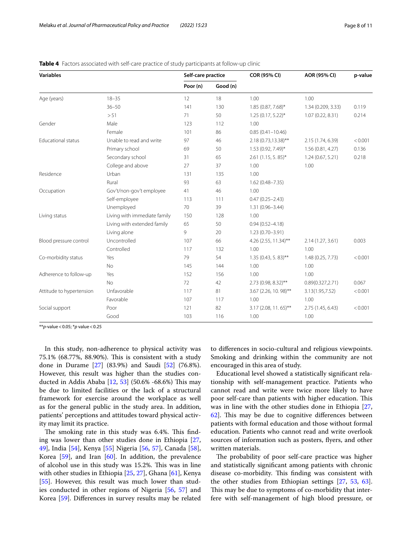| <b>Variables</b>          |                              | Self-care practice |          | COR (95% CI)           | AOR (95% CI)       | p-value |
|---------------------------|------------------------------|--------------------|----------|------------------------|--------------------|---------|
|                           |                              | Poor (n)           | Good (n) |                        |                    |         |
| Age (years)               | $18 - 35$                    | 12                 | 18       | 1.00                   | 1.00               |         |
|                           | $36 - 50$                    | 141                | 130      | 1.85 (0.87, 7.68)*     | 1.34 (0.209, 3.33) | 0.119   |
|                           | > 51                         | 71                 | 50       | $1.25(0.17, 5.22)^{*}$ | 1.07(0.22, 8.31)   | 0.214   |
| Gender                    | Male                         | 123                | 112      | 1.00                   |                    |         |
|                           | Female                       | 101                | 86       | $0.85(0.41 - 10.46)$   |                    |         |
| <b>Educational status</b> | Unable to read and write     | 97                 | 46       | 2.18 (0.73,13.38)**    | 2.15 (1.74, 6.39)  | < 0.001 |
|                           | Primary school               | 69                 | 50       | 1.53 (0.92, 7.49)*     | 1.56(0.81, 4.27)   | 0.136   |
|                           | Secondary school             | 31                 | 65       | $2.61$ (1.15, 5.85)*   | 1.24(0.67, 5.21)   | 0.218   |
|                           | College and above            | 27                 | 37       | 1.00                   | 1.00               |         |
| Residence                 | Urban                        | 131                | 135      | 1.00                   |                    |         |
|                           | Rural                        | 93                 | 63       | $1.62(0.48 - 7.35)$    |                    |         |
| Occupation                | Gov't/non-gov't employee     | 41                 | 46       | 1.00                   |                    |         |
|                           | Self-employee                | 113                | 111      | $0.47(0.25 - 2.43)$    |                    |         |
|                           | Unemployed                   | 70                 | 39       | $1.31(0.96 - 3.44)$    |                    |         |
| Living status             | Living with immediate family | 150                | 128      | 1.00                   |                    |         |
|                           | Living with extended family  | 65                 | 50       | $0.94(0.52 - 4.18)$    |                    |         |
|                           | Living alone                 | 9                  | 20       | $1.23(0.70 - 3.91)$    |                    |         |
| Blood pressure control    | Uncontrolled                 | 107                | 66       | 4.26 (2.55, 11.34)**   | 2.14 (1.27, 3.61)  | 0.003   |
|                           | Controlled                   | 117                | 132      | 1.00                   | 1.00               |         |
| Co-morbidity status       | Yes                          | 79                 | 54       | $1.35(0.43, 5.83)$ **  | 1.48 (0.25, 7.73)  | < 0.001 |
|                           | No                           | 145                | 144      | 1.00                   | 1.00               |         |
| Adherence to follow-up    | Yes                          | 152                | 156      | 1.00                   | 1.00               |         |
|                           | <b>No</b>                    | 72                 | 42       | 2.73 (0.98, 8.32)**    | 0.89(0.327, 2.71)  | 0.067   |
| Attitude to hypertension  | Unfavorable                  | 117                | 81       | 3.67 (2.26, 10. 98)**  | 3.13(1.95,7.52)    | < 0.001 |
|                           | Favorable                    | 107                | 117      | 1.00                   | 1.00               |         |
| Social support            | Poor                         | 121                | 82       | $3.17(2.08, 11.65)$ ** | 2.75 (1.45, 6.43)  | < 0.001 |
|                           | Good                         | 103                | 116      | 1.00                   | 1.00               |         |

<span id="page-7-0"></span>**Table 4** Factors associated with self-care practice of study participants at follow-up clinic

\*\**p*-value<0.05; \**p* value<0.25

In this study, non-adherence to physical activity was 75.1% (68.77%, 88.90%). This is consistent with a study done in Durame [\[27](#page-9-36)] (83.9%) and Saudi [\[52](#page-9-42)] (76.8%). However, this result was higher than the studies con-ducted in Addis Ababa [\[12](#page-9-6), [53](#page-9-43)] (50.6% -68.6%) This may be due to limited facilities or the lack of a structural framework for exercise around the workplace as well as for the general public in the study area. In addition, patients' perceptions and attitudes toward physical activity may limit its practice.

The smoking rate in this study was 6.4%. This finding was lower than other studies done in Ethiopia [\[27](#page-9-36), [49\]](#page-9-39), India [\[54](#page-10-0)], Kenya [\[55](#page-10-1)] Nigeria [[56,](#page-10-2) [57\]](#page-10-3), Canada [\[58](#page-10-4)], Korea [\[59\]](#page-10-5), and Iran [\[60\]](#page-10-6). In addition, the prevalence of alcohol use in this study was 15.2%. This was in line with other studies in Ethiopia [[25,](#page-9-44) [27](#page-9-36)], Ghana [[61](#page-10-7)], Kenya [[55\]](#page-10-1). However, this result was much lower than studies conducted in other regions of Nigeria [[56,](#page-10-2) [57\]](#page-10-3) and Korea [[59\]](#page-10-5). Diferences in survey results may be related to diferences in socio-cultural and religious viewpoints. Smoking and drinking within the community are not encouraged in this area of study.

Educational level showed a statistically signifcant relationship with self-management practice. Patients who cannot read and write were twice more likely to have poor self-care than patients with higher education. This was in line with the other studies done in Ethiopia [[27](#page-9-36),  $62$ ]. This may be due to cognitive differences between patients with formal education and those without formal education. Patients who cannot read and write overlook sources of information such as posters, fyers, and other written materials.

The probability of poor self-care practice was higher and statistically signifcant among patients with chronic disease co-morbidity. This finding was consistent with the other studies from Ethiopian settings [\[27,](#page-9-36) [53,](#page-9-43) [63](#page-10-9)]. This may be due to symptoms of co-morbidity that interfere with self-management of high blood pressure, or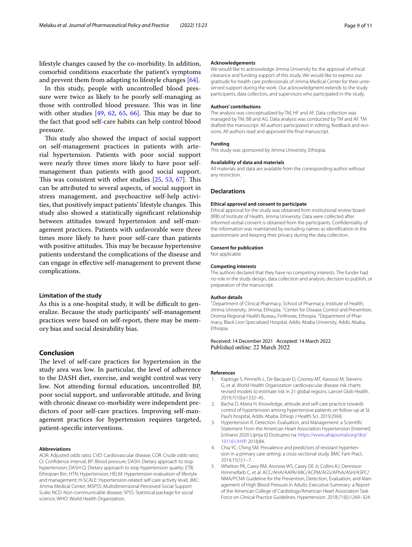lifestyle changes caused by the co-morbidity. In addition, comorbid conditions exacerbate the patient's symptoms and prevent them from adapting to lifestyle changes [[64\]](#page-10-10).

In this study, people with uncontrolled blood pressure were twice as likely to be poorly self-managing as those with controlled blood pressure. This was in line with other studies  $[49, 62, 65, 66]$  $[49, 62, 65, 66]$  $[49, 62, 65, 66]$  $[49, 62, 65, 66]$  $[49, 62, 65, 66]$  $[49, 62, 65, 66]$  $[49, 62, 65, 66]$  $[49, 62, 65, 66]$ . This may be due to the fact that good self-care habits can help control blood pressure.

This study also showed the impact of social support on self-management practices in patients with arterial hypertension. Patients with poor social support were nearly three times more likely to have poor selfmanagement than patients with good social support. This was consistent with other studies  $[25, 53, 67]$  $[25, 53, 67]$  $[25, 53, 67]$  $[25, 53, 67]$  $[25, 53, 67]$  $[25, 53, 67]$ . This can be attributed to several aspects, of social support in stress management, and psychoactive self-help activities, that positively impact patients' lifestyle changes. This study also showed a statistically signifcant relationship between attitudes toward hypertension and self-management practices. Patients with unfavorable were three times more likely to have poor self-care than patients with positive attitudes. This may be because hypertensive patients understand the complications of the disease and can engage in efective self-management to prevent these complications.

### **Limitation of the study**

As this is a one-hospital study, it will be difficult to generalize. Because the study participants' self-management practices were based on self-report, there may be memory bias and social desirability bias.

## **Conclusion**

The level of self-care practices for hypertension in the study area was low. In particular, the level of adherence to the DASH diet, exercise, and weight control was very low. Not attending formal education, uncontrolled BP, poor social support, and unfavorable attitude, and living with chronic disease co-morbidity were independent predictors of poor self-care practices. Improving self-management practices for hypertension requires targeted, patient-specifc interventions.

#### **Abbreviations**

AOR: Adjusted odds ratio; CVD: Cardiovascular disease; COR: Crude odds ratio; CI: Confdence interval; BP: Blood pressure; DASH: Dietary approach to stop hypertension; DASH-Q: Dietary approach to stop hypertension quality; ETB: Ethiopian Birr; HTN: Hypertension; HELM: Hypertension evaluation of lifestyle and management; H-SCALE: Hypertension-related self-care activity level; JMC: Jimma Medical Center; MSPSS: Multidimensional Perceived Social Support Scale; NCD: Non-communicable disease; SPSS: Statistical package for social science; WHO: World Health Organization.

#### **Acknowledgements**

We would like to acknowledge Jimma University for the approval of ethical clearance and funding support of this study. We would like to express our gratitude for health care professionals of Jimma Medical Center for their unreserved support during the work. Our acknowledgment extends to the study participants, data collectors, and supervisors who participated in the study.

#### **Authors' contributions**

The analysis was conceptualized by TM, HF and AF. Data collection was managed by TM, BB and AG. Data analysis was conducted by TM and AF. TM drafted the manuscript. All authors participated in editing, feedback and revisions. All authors read and approved the fnal manuscript.

## **Funding**

This study was sponsored by Jimma University, Ethiopia.

#### **Availability of data and materials**

All materials and data are available from the corresponding author without any restriction.

#### **Declarations**

#### **Ethical approval and consent to participate**

Ethical approval for the study was obtained from institutional review board (IRB) of Institute of Health, Jimma University. Data were collected after informed verbal consent is obtained from the participants. Confdentiality of the information was maintained by excluding names as identifcation in the questionnaire and keeping their privacy during the data collection.

#### **Consent for publication**

Not applicable.

#### **Competing interests**

The authors declared that they have no competing interests. The funder had no role in the study design, data collection and analysis, decision to publish, or preparation of the manuscript.

#### **Author details**

<sup>1</sup> Department of Clinical Pharmacy, School of Pharmacy, Institute of Health, Jimma University, Jimma, Ethiopia. <sup>2</sup> Center for Disease Control and Prevention, Oromia Regional Health Bureau, Finfinnee, Ethiopia. <sup>3</sup> Department of Pharmacy, Black Lion Specialized Hospital, Addis Ababa University, Addis Ababa, Ethiopia.

## Received: 14 December 2021 Accepted: 14 March 2022 Published online: 22 March 2022

#### **References**

- <span id="page-8-0"></span>1. Kaptoge S, Pennells L, De Bacquer D, Cooney MT, Kavousi M, Stevens G, et al. World Health Organization cardiovascular disease risk charts: revised models to estimate risk in 21 global regions. Lancet Glob Health. 2019;7(10):e1332–45.
- <span id="page-8-1"></span>2. Bacha D, Abera H. Knowledge, attitude and self-care practice towards control of hypertension among hypertensive patients on follow-up at St. Paul's hospital, Addis Ababa. Ethiop J Health Sci. 2019;29(4).
- <span id="page-8-2"></span>3. Hypertension R. Detection. Evaluation, and Management: a Scientifc Statement From the American Heart Association Hypertension [Internet] [citirano 2020 Lipnja 6] Dostupno na: [https://www.ahajournalsorg/doi/](https://www.ahajournalsorg/doi/101161/HYP) [101161/HYP.](https://www.ahajournalsorg/doi/101161/HYP) 2018;84.
- <span id="page-8-3"></span>4. Chia YC, Ching SM. Prevalence and predictors of resistant hypertension in a primary care setting: a cross-sectional study. BMC Fam Pract. 2014;15(1):1–7.
- <span id="page-8-4"></span>5. Whelton PK, Carey RM, Aronow WS, Casey DE Jr, Collins KJ, Dennison Himmelfarb C, et al. ACC/AHA/AAPA/ABC/ACPM/AGS/APhA/ASH/ASPC/ NMA/PCNA Guideline for the Prevention, Detection, Evaluation, and Management of High Blood Pressure in Adults: Executive Summary: a Report of the American College of Cardiology/American Heart Association Task Force on Clinical Practice Guidelines. Hypertension. 2018;71(6):1269–324.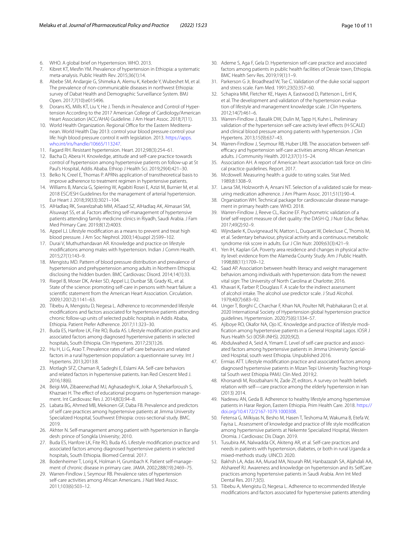- <span id="page-9-0"></span>6. WHO. A global brief on Hypertension. WHO. 2013.
- <span id="page-9-1"></span>7. Kibret KT, Mesfn YM. Prevalence of hypertension in Ethiopia: a systematic meta-analysis. Public Health Rev. 2015;36(1):14.
- <span id="page-9-2"></span>8. Abebe SM, Andargie G, Shimeka A, Alemu K, Kebede Y, Wubeshet M, et al. The prevalence of non-communicable diseases in northwest Ethiopia: survey of Dabat Health and Demographic Surveillance System. BMJ Open. 2017;7(10):e015496.
- <span id="page-9-3"></span>9. Dorans KS, Mills KT, Liu Y, He J. Trends in Prevalence and Control of Hypertension According to the 2017 American College of Cardiology/American Heart Association (ACC/AHA) Guideline. J Am Heart Assoc. 2018;7(11).
- <span id="page-9-4"></span>10. World Health Organization. Regional Office for the Eastern Mediterranean. World Health Day 2013: control your blood pressure control your life: high blood pressure control it with legislation. 2013. [https://apps.](https://apps.who.int/iris/handle/10665/113247) [who.int/iris/handle/10665/113247.](https://apps.who.int/iris/handle/10665/113247)
- <span id="page-9-5"></span>11. Fagard RH. Resistant hypertension. Heart. 2012;98(3):254–61.
- <span id="page-9-6"></span>12. Bacha D, Abera H. Knowledge, attitude and self-care practice towards control of hypertension among hypertensive patients on follow-up at St Paul's Hospital, Addis Ababa. Ethiop J Health Sci. 2019;29(4):421–30.
- <span id="page-9-7"></span>13. Belko N, Creel E, Thomas P. APRNs application of transtheoretical basis to improve adherence to treatment regimen in hypertensive patients.
- <span id="page-9-8"></span>14. Williams B, Mancia G, Spiering W, Agabiti Rosei E, Azizi M, Burnier M, et al. 2018 ESC/ESH Guidelines for the management of arterial hypertension. Eur Heart J. 2018;39(33):3021–104.
- <span id="page-9-9"></span>15. AlHadlaq RK, Swarelzahab MM, AlSaad SZ, AlHadlaq AK, Almasari SM, Alsuwayt SS, et al. Factors afecting self-management of hypertensive patients attending family medicine clinics in Riyadh, Saudi Arabia. J Fam Med Primary Care. 2019;8(12):4003.
- <span id="page-9-10"></span>16. Appel LJ. Lifestyle modifcation as a means to prevent and treat high blood pressure. J Am Soc Nephrol. 2003;14(suppl 2):S99–102.
- <span id="page-9-11"></span>17. Durai V, Muthuthandavan AR. Knowledge and practice on lifestyle modifcations among males with hypertension. Indian J Comm Health. 2015;27(1):143–9.
- <span id="page-9-12"></span>18. Mengistu MD. Pattern of blood pressure distribution and prevalence of hypertension and prehypertension among adults in Northern Ethiopia: disclosing the hidden burden. BMC Cardiovasc Disord. 2014;14(1):33.
- <span id="page-9-13"></span>19. Riegel B, Moser DK, Anker SD, Appel LJ, Dunbar SB, Grady KL, et al. State of the science: promoting self-care in persons with heart failure: a scientifc statement from the American Heart Association. Circulation. 2009;120(12):1141–63.
- <span id="page-9-14"></span>20. Tibebu A, Mengistu D, Negesa L. Adherence to recommended lifestyle modifcations and factors associated for hypertensive patients attending chronic follow-up units of selected public hospitals in Addis Ababa, Ethiopia. Patient Prefer Adherence. 2017;11:323–30.
- <span id="page-9-15"></span>21. Buda ES, Hanfore LK, Fite RO, Buda AS. Lifestyle modifcation practice and associated factors among diagnosed hypertensive patients in selected hospitals, South Ethiopia. Clin Hypertens. 2017;23(1):26.
- <span id="page-9-16"></span>22. Hu H, Li G, Arao T. Prevalence rates of self-care behaviors and related factors in a rural hypertension population: a questionnaire survey. Int J Hypertens. 2013;2013:8.
- 23. Motlagh SFZ, Chaman R, Sadeghi E, Eslami AA. Self-care behaviors and related factors in hypertensive patients. Iran Red Crescent Med J. 2016;18(6).
- 24. Beigi MA, Zibaeenezhad MJ, Aghasadeghi K, Jokar A, Shekarforoush S, Khazraei H. The efect of educational programs on hypertension management. Int Cardiovasc Res J. 2014;8(3):94–8.
- <span id="page-9-44"></span>25. Labata BG, Ahmed MB, Mekonen GF, Daba FB. Prevalence and predictors of self care practices among hypertensive patients at Jimma University Specialized Hospital, Southwest Ethiopia: cross-sectional study. BMC. 2019.
- <span id="page-9-17"></span>26. Akhter N. Self-management among patient with hypertension in Bangladesh: prince of Songkla University; 2010.
- <span id="page-9-36"></span>27. Buda ES, Hanfore LK, Fite RO, Buda AS. Lifestyle modifcation practice and associated factors among diagnosed hypertensive patients in selected hospitals, South Ethiopia. Biomed Central. 2017.
- <span id="page-9-18"></span>28. Bodenheimer T, Lorig K, Holman H, Grumbach K. Patient self-management of chronic disease in primary care. JAMA. 2002;288(19):2469–75.
- <span id="page-9-19"></span>29. Warren-Findlow J, Seymour RB. Prevalence rates of hypertension self-care activities among African Americans. J Natl Med Assoc. 2011;103(6):503–12.
- <span id="page-9-20"></span>30. Ademe S, Aga F, Gela D. Hypertension self-care practice and associated factors among patients in public health facilities of Dessie town, Ethiopia. BMC Health Serv Res. 2019;19(1):1–9.
- 31. Parkerson G Jr, Broadhead W, Tse C. Validation of the duke social support and stress scale. Fam Med. 1991;23(5):357–60.
- <span id="page-9-32"></span>32. Schapira MM, Fletcher KE, Hayes A, Eastwood D, Patterson L, Ertl K, et al. The development and validation of the hypertension evaluation of lifestyle and management knowledge scale. J Clin Hypertens. 2012;14(7):461–6.
- <span id="page-9-29"></span>33. Warren-Findlow J, Basalik DW, Dulin M, Tapp H, Kuhn L. Preliminary validation of the hypertension self-care activity level effects (H-SCALE) and clinical blood pressure among patients with hypertension. J Clin Hypertens. 2013;15(9):637–43.
- <span id="page-9-21"></span>34. Warren-Findlow J, Seymour RB, Huber LRB. The association between selfefficacy and hypertension self-care activities among African American adults. J Community Health. 2012;37(1):15–24.
- <span id="page-9-22"></span>35. Association AH. A report of American heart association task force on clinical practice guidelines. Report. 2017.
- <span id="page-9-23"></span>36. Mcdowell. Measuring health: a guide to rating scales. Stat Med. 1989;8:1308–9.
- <span id="page-9-24"></span>37. Lavsa SM, Holzworth A, Ansani NT. Selection of a validated scale for measuring medication adherence. J Am Pharm Assoc. 2011;51(1):90–4.
- <span id="page-9-25"></span>38. Organization WH. Technical package for cardiovascular disease management in primary health care. WHO. 2018.
- <span id="page-9-26"></span>39. Warren-Findlow J, Reeve CL, Racine EF. Psychometric validation of a brief self-report measure of diet quality: the DASH-Q. J Nutr Educ Behav. 2017;49(2):92–9.
- <span id="page-9-27"></span>40. Wijndaele K, Duvigneaud N, Matton L, Duquet W, Delecluse C, Thomis M, et al. Sedentary behaviour, physical activity and a continuous metabolic syndrome risk score in adults. Eur J Clin Nutr. 2009;63(3):421–9.
- <span id="page-9-28"></span>41. Yen IH, Kaplan GA. Poverty area residence and changes in physical activity level: evidence from the Alameda County Study. Am J Public Health. 1998;88(11):1709–12.
- <span id="page-9-30"></span>42. Saad AP. Association between health literacy and weight management behaviors among individuals with hypertension: data from the newest vital sign: The University of North Carolina at Charlotte; 2016.
- <span id="page-9-31"></span>43. Khavari K, Farber P, Douglass F. A scale for the indirect assessment of alcohol intake. The alcohol use predictor scale. J Stud Alcohol. 1979;40(7):683–92.
- <span id="page-9-33"></span>44. Unger T, Borghi C, Charchar F, Khan NA, Poulter NR, Prabhakaran D, et al. 2020 International Society of Hypertension global hypertension practice guidelines. Hypertension. 2020;75(6):1334–57.
- <span id="page-9-34"></span>45. Ajiboye RO, Okafor NA, Ojo IC. Knowledge and practice of lifestyle modifcation among hypertensive patients in a General Hospital Lagos. IOSR J Nurs Health Sci (IOSR-JNHS). 2020;9(2).
- <span id="page-9-35"></span>46. Abdulwahed A, Seid A, Yimam E. Level of self-care practice and associated factors among hypertensive patients in Jimma University Specialized Hospital, south west Ethiopia. Unpublished 2016.
- <span id="page-9-37"></span>47. Ermias ATT. Lifestyle modifcation practice and associated factors among diagnosed hypertensive patients in Mizan Tepi University Teaching Hospital South west Ethiopia PAMJ. Clin Med. 2019;2.
- <span id="page-9-38"></span>48. Khorsandi M, Roozbahani N, Zade Zf, editors. A survey on health beliefs relation with self—care practice among the elderly hypertension in Iran (2013) 2014.
- <span id="page-9-39"></span>49. Nadewu AN, Geda B. Adherence to healthy lifestyle among hypertensive patients in Harar Region, Eastern Ethiopia. Prim Health Care. 2018. [https://](https://doi.org/10.4172/2167-1079.1000308) [doi.org/10.4172/2167-1079.1000308.](https://doi.org/10.4172/2167-1079.1000308)
- <span id="page-9-40"></span>50. Fetensa G, Milkiyas N, Besho M, Hasen T, Teshoma M, Wakuma B, Etefa W, Fayisa L. Assessment of knowledge and practice of life style modifcation among hypertensive patients at Nekemte Specialized Hospital, Western Oromia. J Cardiovasc Dis Diagn. 2019.
- <span id="page-9-41"></span>51. Tusubira AK, Nalwadda CK, Akiteng AR, et al. Self-care practices and needs in patients with hypertension, diabetes, or both in rural Uganda: a mixed-methods study. UINCD. 2020.
- <span id="page-9-42"></span>52. Bakhsh LA, Adas AA, Murad MA, Nourah RM, Hanbazazah SA, Aljahdali AA, Alshareef RJ. Awareness and knowledge on hypertension and its SelfCare practices among hypertensive patients in Saudi Arabia. Ann Int Med Dental Res. 2017;3(5).
- <span id="page-9-43"></span>53. Tibebu A, Mengistu D, Negesa L. Adherence to recommended lifestyle modifcations and factors associated for hypertensive patients attending